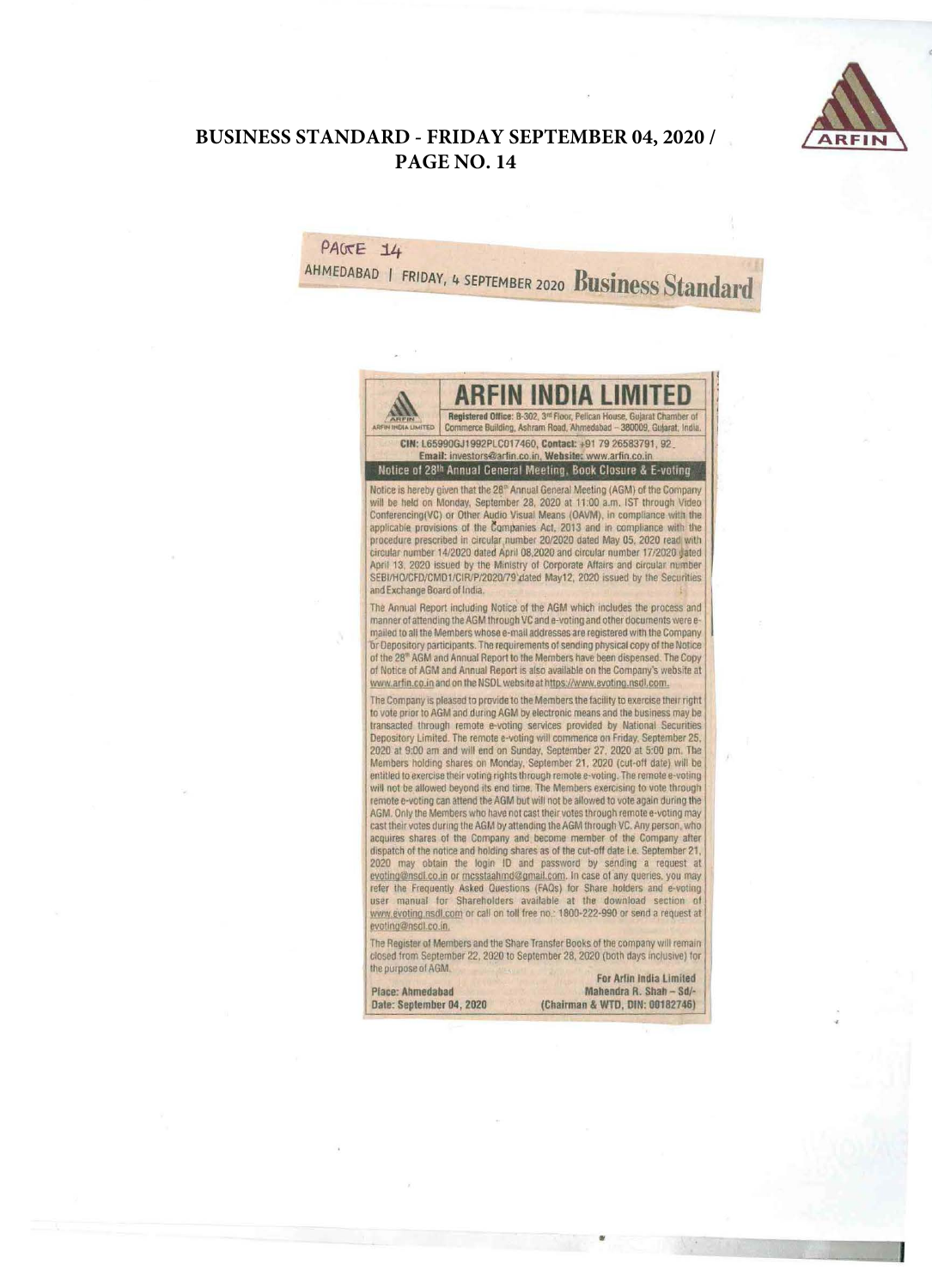

## **BUSINESS STANDARD - FRIDAY SEPTEMBER 04, 2020 /** PAGE NO. 14

PAGE 14

AHMEDABAD I FRIDAY, 4 SEPTEMBER 2020 Business Standard

Registered Office: B-302, 3rd Floor, Pelican House, Gujarat Chamber of Commerce Building, Ashram Road, Ahmedabad - 380009, Gujarat, India. **IDIA LIMITED** CIN: L65990GJ1992PLC017460, Contact: +91 79 26583791, 92 Email: investors@arfin.co.in, Website: www.arfin.co.in Notice of 28th Annual General Meeting, Book Closure & E-voting Notice is hereby given that the 28<sup>th</sup> Annual General Meeting (AGM) of the Company will be held on Monday, September 28, 2020 at 11:00 a.m. IST through Video Conferencing(VC) or Other Audio Visual Means (OAVM), in compliance with the applicable provisions of the Companies Act, 2013 and in compliance with the procedure prescribed in circular number 20/2020 dated May 05, 2020 read with circular number 14/2020 dated April 08,2020 and circular number 17/2020 dated April 13, 2020 issued by the Ministry of Corporate Affairs and circular number SEBI/HO/CFD/CMD1/CIR/P/2020/79 dated May12, 2020 issued by the Securities and Exchange Board of India. The Annual Report including Notice of the AGM which includes the process and<br>manner of attending the AGM through VC and e-voting and other documents were emailed to all the Members whose e-mail addresses are registered with the Company or Depository participants. The requirements of sending physical copy of the Notice of the 28<sup>th</sup> AGM and Annual Report to the Members have been dispensed. The Copy of Notice of AGM and Annual Report is also available on the Company's website at www.arfin.co.in and on the NSDL website at https://www.evoting.nsdl.com. The Company is pleased to provide to the Members the facility to exercise their right to vote prior to AGM and during AGM by electronic means and the business may be transacted through remote e-voting services provided by National Securities Depository Limited. The remote e-voting will commence on Friday. September 25, 2020 at 9:00 am and will end on Sunday, September 27, 2020 at 5:00 pm, The Members holding shares on Monday, September 21, 2020 (cut-off date) will be entitled to exercise their voting rights through remote e-voting. The remote e-voting will not be allowed beyond its end time. The Members exercising to vote through remote e-voting can attend the AGM but will not be allowed to vote again during the AGM. Only the Members who have not cast their votes through remote e-voting may cast their votes during the AGM by attending the AGM through VC. Any person, who acquires shares of the Company and become member of the Company after dispatch of the notice and holding shares as of the cut-off date i.e. September 21, 2020 may obtain the login ID and password by sending a request at evoting@nsdl.co.in or mcsstaahmd@gmail.com. In case of any queries, you may refer the Frequently Asked Questions (FAQs) for Share holders and e-voting user manual for Shareholders available at the download section of www.evoting.nsdl.com or call on toll free no.: 1800-222-990 or send a request at evoting@nsdl.co.in. The Register of Members and the Share Transfer Books of the company will remain closed from September 22, 2020 to September 28, 2020 (both days inclusive) for the purpose of AGM. For Arlin India Limited **Place: Ahmedabad** Mahendra R. Shah - Sd/-Date: September 04, 2020 (Chairman & WTD, DIN: 00182746)